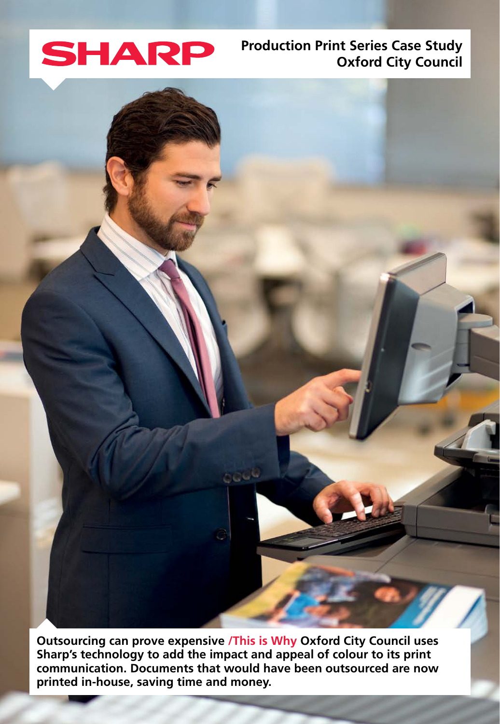

# **Production Print Series Case Study Oxford City Council**

 **Outsourcing can prove expensive /This is Why Oxford City Council uses Sharp's technology to add the impact and appeal of colour to its print** communication. Documents that would have been outsourced are now printed in-house, saving time and money.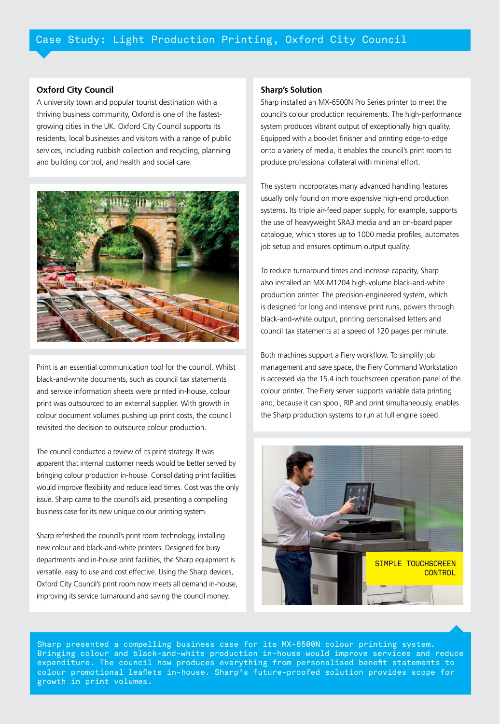### **Oxford City Council**

A university town and popular tourist destination with a growing cities in the UK. Oxford City Council supports its thriving business community, Oxford is one of the fastestresidents, local businesses and visitors with a range of public services, including rubbish collection and recycling, planning and building control, and health and social care.



Print is an essential communication tool for the council. Whilst black-and-white documents, such as council tax statements and service information sheets were printed in-house, colour print was outsourced to an external supplier. With growth in colour document volumes pushing up print costs, the council revisited the decision to outsource colour production.

The council conducted a review of its print strategy. It was apparent that internal customer needs would be better served by bringing colour production in-house. Consolidating print facilities would improve flexibility and reduce lead times. Cost was the only issue. Sharp came to the council's aid, presenting a compelling business case for its new unique colour printing system.

Sharp refreshed the council's print room technology, installing new colour and black-and-white printers. Designed for busy departments and in-house print facilities, the Sharp equipment is versatile, easy to use and cost effective. Using the Sharp devices, Oxford City Council's print room now meets all demand in-house, improving its service turnaround and saving the council money.

## **Sharp's Solution**

Sharp installed an MX-6500N Pro Series printer to meet the council's colour production requirements. The high-performance system produces vibrant output of exceptionally high quality. Equipped with a booklet finisher and printing edge-to-edge onto a variety of media, it enables the council's print room to produce professional collateral with minimal effort.

The system incorporates many advanced handling features usually only found on more expensive high-end production systems. Its triple air-feed paper supply, for example, supports the use of heavyweight SRA3 media and an on-board paper catalogue, which stores up to 1000 media profiles, automates job setup and ensures optimum output quality.

To reduce turnaround times and increase capacity, Sharp also installed an MX-M1204 high-volume black-and-white production printer. The precision-engineered system, which is designed for long and intensive print runs, powers through black-and-white output, printing personalised letters and council tax statements at a speed of 120 pages per minute.

Both machines support a Fiery workflow. To simplify job management and save space, the Fiery Command Workstation is accessed via the 15.4 inch touchscreen operation panel of the colour printer. The Fiery server supports variable data printing and, because it can spool, RIP and print simultaneously, enables the Sharp production systems to run at full engine speed.



Sharp presented a compelling business case for its MX-6500N colour printing system. Bringing colour and black-and-white production in-house would improve services and reduce expenditure. The council now produces everything from personalised benefit statements to colour promotional leaflets in-house. Sharp's future-proofed solution provides scope for growth in print volumes.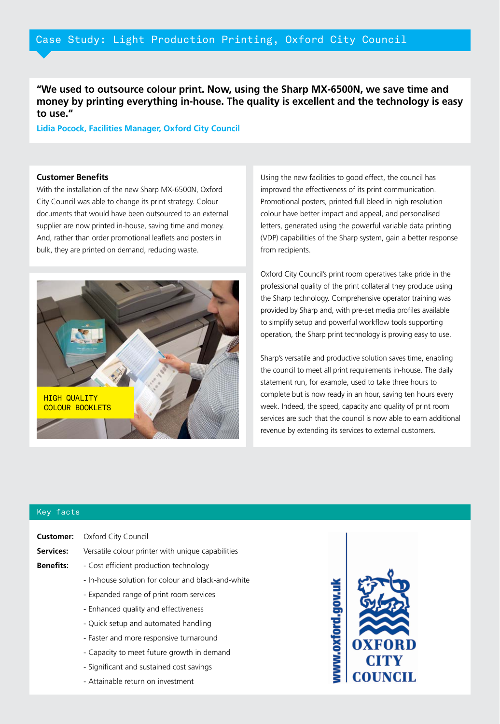"We used to outsource colour print. Now, using the Sharp MX-6500N, we save time and money by printing everything in-house. The quality is excellent and the technology is easy to use."

**Lidia Pocock, Facilities Manager, Oxford City Council** 

#### **Customer Benefits**

With the installation of the new Sharp MX-6500N, Oxford City Council was able to change its print strategy. Colour documents that would have been outsourced to an external supplier are now printed in-house, saving time and money. And, rather than order promotional leaflets and posters in bulk, they are printed on demand, reducing waste.



Using the new facilities to good effect, the council has improved the effectiveness of its print communication. Promotional posters, printed full bleed in high resolution colour have better impact and appeal, and personalised letters, generated using the powerful variable data printing (VDP) capabilities of the Sharp system, gain a better response from recipients.

Oxford City Council's print room operatives take pride in the professional quality of the print collateral they produce using the Sharp technology. Comprehensive operator training was provided by Sharp and, with pre-set media profiles available to simplify setup and powerful workflow tools supporting operation, the Sharp print technology is proving easy to use.

Sharp's versatile and productive solution saves time, enabling the council to meet all print requirements in-house. The daily statement run, for example, used to take three hours to complete but is now ready in an hour, saving ten hours every week. Indeed, the speed, capacity and quality of print room services are such that the council is now able to earn additional revenue by extending its services to external customers.

#### Key facts

|                  | <b>Customer:</b> Oxford City Council               |
|------------------|----------------------------------------------------|
| Services:        | Versatile colour printer with unique capabilities  |
| <b>Benefits:</b> | - Cost efficient production technology             |
|                  | - In-house solution for colour and black-and-white |
|                  | - Expanded range of print room services            |
|                  | - Enhanced quality and effectiveness               |
|                  | - Quick setup and automated handling               |
|                  | - Faster and more responsive turnaround            |

- Capacity to meet future growth in demand
- Significant and sustained cost savings
- Attainable return on investment